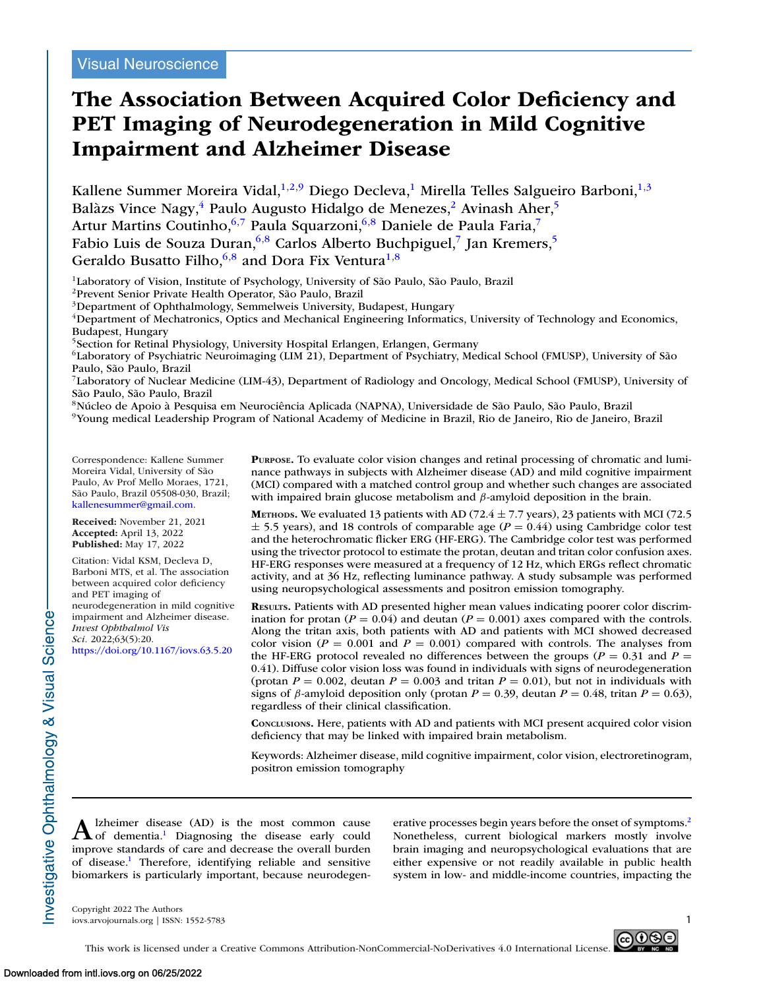# **The Association Between Acquired Color Deficiency and PET Imaging of Neurodegeneration in Mild Cognitive Impairment and Alzheimer Disease**

Kallene Summer Moreira Vidal,<sup>1,2,9</sup> Diego Decleva,<sup>1</sup> Mirella Telles Salgueiro Barboni,<sup>1,3</sup> Balàzs Vince Nagy,<sup>4</sup> Paulo Augusto Hidalgo de Menezes,<sup>2</sup> Avinash Aher,<sup>5</sup> Artur Martins Coutinho, 6,7 Paula Squarzoni, 6,8 Daniele de Paula Faria,7 Fabio Luis de Souza Duran,<sup>6,8</sup> Carlos Alberto Buchpiguel,<sup>7</sup> Jan Kremers,<sup>5</sup> Geraldo Busatto Filho,  $6,8$  and Dora Fix Ventura<sup>1,8</sup>

<sup>1</sup>Laboratory of Vision, Institute of Psychology, University of São Paulo, São Paulo, Brazil

2Prevent Senior Private Health Operator, São Paulo, Brazil

3Department of Ophthalmology, Semmelweis University, Budapest, Hungary

4Department of Mechatronics, Optics and Mechanical Engineering Informatics, University of Technology and Economics, Budapest, Hungary

5Section for Retinal Physiology, University Hospital Erlangen, Erlangen, Germany

6Laboratory of Psychiatric Neuroimaging (LIM 21), Department of Psychiatry, Medical School (FMUSP), University of São Paulo, São Paulo, Brazil

7Laboratory of Nuclear Medicine (LIM-43), Department of Radiology and Oncology, Medical School (FMUSP), University of São Paulo, São Paulo, Brazil

8Núcleo de Apoio à Pesquisa em Neurociência Aplicada (NAPNA), Universidade de São Paulo, São Paulo, Brazil

9Young medical Leadership Program of National Academy of Medicine in Brazil, Rio de Janeiro, Rio de Janeiro, Brazil

Correspondence: Kallene Summer Moreira Vidal, University of São Paulo, Av Prof Mello Moraes, 1721, São Paulo, Brazil 05508-030, Brazil; [kallenesummer@gmail.com.](mailto:kallenesummer@gmail.com)

**Received:** November 21, 2021 **Accepted:** April 13, 2022 **Published:** May 17, 2022

Citation: Vidal KSM, Decleva D, Barboni MTS, et al. The association between acquired color deficiency and PET imaging of neurodegeneration in mild cognitive impairment and Alzheimer disease. *Invest Ophthalmol Vis Sci.* 2022;63(5):20. <https://doi.org/10.1167/iovs.63.5.20>

**PURPOSE.** To evaluate color vision changes and retinal processing of chromatic and luminance pathways in subjects with Alzheimer disease (AD) and mild cognitive impairment (MCI) compared with a matched control group and whether such changes are associated with impaired brain glucose metabolism and  $\beta$ -amyloid deposition in the brain.

**METHODS.** We evaluated 13 patients with AD (72.4  $\pm$  7.7 years), 23 patients with MCI (72.5  $\pm$  5.5 years), and 18 controls of comparable age ( $P = 0.44$ ) using Cambridge color test and the heterochromatic flicker ERG (HF-ERG). The Cambridge color test was performed using the trivector protocol to estimate the protan, deutan and tritan color confusion axes. HF-ERG responses were measured at a frequency of 12 Hz, which ERGs reflect chromatic activity, and at 36 Hz, reflecting luminance pathway. A study subsample was performed using neuropsychological assessments and positron emission tomography.

**RESULTS.** Patients with AD presented higher mean values indicating poorer color discrimination for protan ( $P = 0.04$ ) and deutan ( $P = 0.001$ ) axes compared with the controls. Along the tritan axis, both patients with AD and patients with MCI showed decreased color vision ( $P = 0.001$  and  $P = 0.001$ ) compared with controls. The analyses from the HF-ERG protocol revealed no differences between the groups ( $P = 0.31$  and  $P =$ 0.41). Diffuse color vision loss was found in individuals with signs of neurodegeneration (protan  $P = 0.002$ , deutan  $P = 0.003$  and tritan  $P = 0.01$ ), but not in individuals with signs of  $\beta$ -amyloid deposition only (protan  $P = 0.39$ , deutan  $P = 0.48$ , tritan  $P = 0.63$ ), regardless of their clinical classification.

**CONCLUSIONS.** Here, patients with AD and patients with MCI present acquired color vision deficiency that may be linked with impaired brain metabolism.

Keywords: Alzheimer disease, mild cognitive impairment, color vision, electroretinogram, positron emission tomography

A Izheimer dis[ea](#page-7-0)se (AD) is the most common cause<br>
of dementia.<sup>1</sup> Diagnosing the disease early could improve standards of care and decrease the overall burden of disease[.1](#page-7-0) Therefore, identifying reliable and sensitive biomarkers is particularly important, because neurodegenerative processes begin years before the onset of symptoms.<sup>2</sup> Nonetheless, current biological markers mostly involve brain imaging and neuropsychological evaluations that are either expensive or not readily available in public health system in low- and middle-income countries, impacting the

Copyright 2022 The Authors iovs.arvojournals.org | ISSN: 1552-5783 1

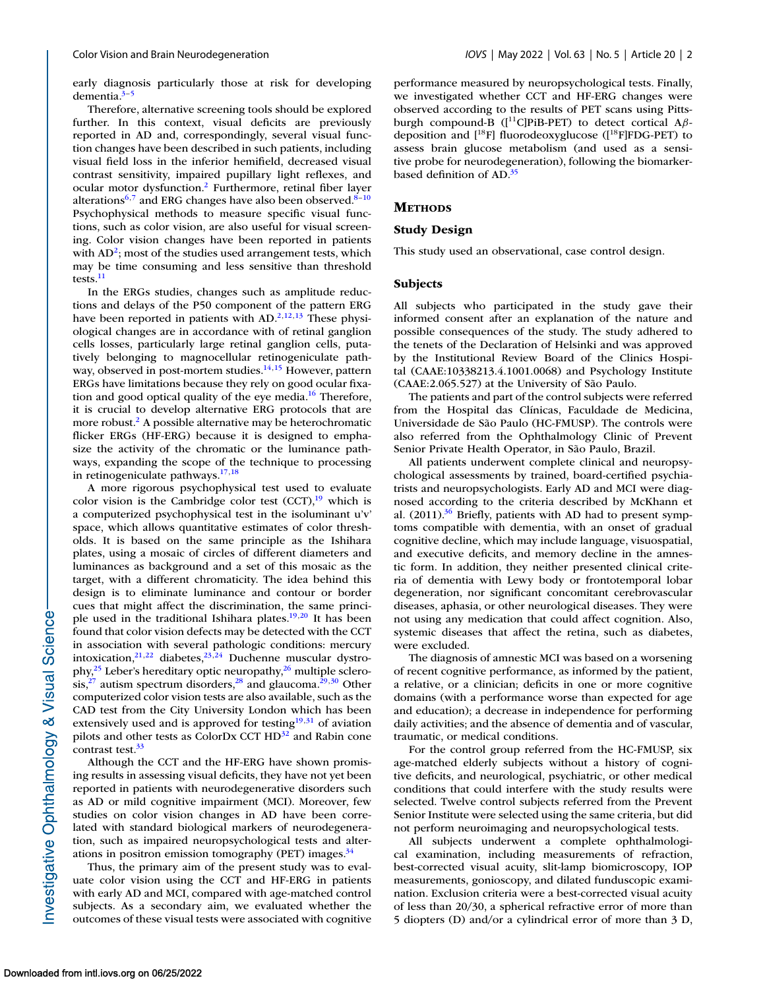early diagnosis particularly those at risk for developing dementia. $3-5$ 

Therefore, alternative screening tools should be explored further. In this context, visual deficits are previously reported in AD and, correspondingly, several visual function changes have been described in such patients, including visual field loss in the inferior hemifield, decreased visual contrast sensitivity, impaired pupillary light reflexes, and ocular motor dysfunction[.2](#page-7-0) Furthermore, retinal fiber layer alterations<sup>6,7</sup> and ERG changes have also been observed.<sup>8-10</sup> Psychophysical methods to measure specific visual functions, such as color vision, are also useful for visual screening. Color vision changes have been reported in patients with  $AD^2$ ; most of the studies used arrangement tests, which may be time consuming and less sensitive than threshold tests.<sup>11</sup>

In the ERGs studies, changes such as amplitude reductions and delays of the P50 component of the pattern ERG have been reported in patients with  $AD^{2,12,13}$  These physiological changes are in accordance with of retinal ganglion cells losses, particularly large retinal ganglion cells, putatively belonging to magnocellular retinogeniculate pathway, observed in post-mortem studies.<sup>14,15</sup> However, pattern ERGs have limitations because they rely on good ocular fixation and good optical quality of the eye media. $16$  Therefore, it is crucial to develop alternative ERG protocols that are more robust.<sup>2</sup> A possible alternative may be heterochromatic flicker ERGs (HF-ERG) because it is designed to emphasize the activity of the chromatic or the luminance pathways, expanding the scope of the technique to processing in retinogeniculate pathways[.17,18](#page-7-0)

A more rigorous psychophysical test used to evaluate color vision is the Cambridge color test  $(CCT)$ ,<sup>19</sup> which is a computerized psychophysical test in the isoluminant u'v' space, which allows quantitative estimates of color thresholds. It is based on the same principle as the Ishihara plates, using a mosaic of circles of different diameters and luminances as background and a set of this mosaic as the target, with a different chromaticity. The idea behind this design is to eliminate luminance and contour or border cues that might affect the discrimination, the same principle used in the traditional Ishihara plates.<sup>19,20</sup> It has been found that color vision defects may be detected with the CCT in association with several pathologic conditions: mercury intoxication, $2^{1,22}$  diabetes, $2^{3,24}$  $2^{3,24}$  $2^{3,24}$  Duchenne muscular dystrophy, $2^5$  Leber's hereditary optic neuropathy, $2^6$  multiple sclero- $\sin^{27}$  autism spectrum disorders,<sup>28</sup> and glaucoma.<sup>29,30</sup> Other computerized color vision tests are also available, such as the CAD test from the City University London which has been extensively used and is approved for testing<sup>19,[31](#page-8-0)</sup> of aviation pilots and other tests as ColorDx CCT HD<sup>32</sup> and Rabin cone contrast test.<sup>33</sup>

Although the CCT and the HF-ERG have shown promising results in assessing visual deficits, they have not yet been reported in patients with neurodegenerative disorders such as AD or mild cognitive impairment (MCI). Moreover, few studies on color vision changes in AD have been correlated with standard biological markers of neurodegeneration, such as impaired neuropsychological tests and alterations in positron emission tomography (PET) images. $34$ 

Thus, the primary aim of the present study was to evaluate color vision using the CCT and HF-ERG in patients with early AD and MCI, compared with age-matched control subjects. As a secondary aim, we evaluated whether the outcomes of these visual tests were associated with cognitive performance measured by neuropsychological tests. Finally, we investigated whether CCT and HF-ERG changes were observed according to the results of PET scans using Pittsburgh compound-B ([11C]PiB-PET) to detect cortical Aβdeposition and  $[$ <sup>18</sup>F] fluorodeoxyglucose ( $[$ <sup>18</sup>F]FDG-PET) to assess brain glucose metabolism (and used as a sensitive probe for neurodegeneration), following the biomarkerbased definition of AD[.35](#page-8-0)

#### **METHODS**

#### **Study Design**

This study used an observational, case control design.

#### **Subjects**

All subjects who participated in the study gave their informed consent after an explanation of the nature and possible consequences of the study. The study adhered to the tenets of the Declaration of Helsinki and was approved by the Institutional Review Board of the Clinics Hospital (CAAE:10338213.4.1001.0068) and Psychology Institute (CAAE:2.065.527) at the University of São Paulo.

The patients and part of the control subjects were referred from the Hospital das Clínicas, Faculdade de Medicina, Universidade de São Paulo (HC-FMUSP). The controls were also referred from the Ophthalmology Clinic of Prevent Senior Private Health Operator, in São Paulo, Brazil.

All patients underwent complete clinical and neuropsychological assessments by trained, board-certified psychiatrists and neuropsychologists. Early AD and MCI were diagnosed according to the criteria described by McKhann et al. (2011).<sup>36</sup> Briefly, patients with AD had to present symptoms compatible with dementia, with an onset of gradual cognitive decline, which may include language, visuospatial, and executive deficits, and memory decline in the amnestic form. In addition, they neither presented clinical criteria of dementia with Lewy body or frontotemporal lobar degeneration, nor significant concomitant cerebrovascular diseases, aphasia, or other neurological diseases. They were not using any medication that could affect cognition. Also, systemic diseases that affect the retina, such as diabetes, were excluded.

The diagnosis of amnestic MCI was based on a worsening of recent cognitive performance, as informed by the patient, a relative, or a clinician; deficits in one or more cognitive domains (with a performance worse than expected for age and education); a decrease in independence for performing daily activities; and the absence of dementia and of vascular, traumatic, or medical conditions.

For the control group referred from the HC-FMUSP, six age-matched elderly subjects without a history of cognitive deficits, and neurological, psychiatric, or other medical conditions that could interfere with the study results were selected. Twelve control subjects referred from the Prevent Senior Institute were selected using the same criteria, but did not perform neuroimaging and neuropsychological tests.

All subjects underwent a complete ophthalmological examination, including measurements of refraction, best-corrected visual acuity, slit-lamp biomicroscopy, IOP measurements, gonioscopy, and dilated funduscopic examination. Exclusion criteria were a best-corrected visual acuity of less than 20/30, a spherical refractive error of more than 5 diopters (D) and/or a cylindrical error of more than 3 D,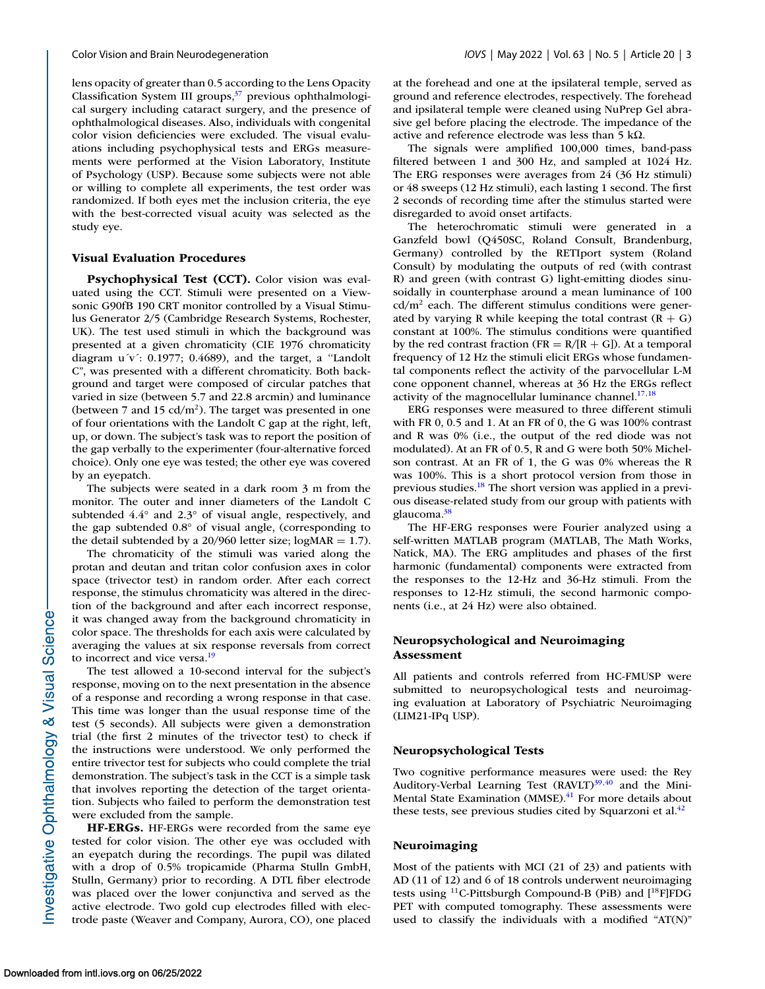lens opacity of greater than 0.5 according to the Lens Opacity Classification System III groups,<sup>37</sup> previous ophthalmological surgery including cataract surgery, and the presence of ophthalmological diseases. Also, individuals with congenital color vision deficiencies were excluded. The visual evaluations including psychophysical tests and ERGs measurements were performed at the Vision Laboratory, Institute of Psychology (USP). Because some subjects were not able or willing to complete all experiments, the test order was randomized. If both eyes met the inclusion criteria, the eye with the best-corrected visual acuity was selected as the study eye.

#### **Visual Evaluation Procedures**

**Psychophysical Test (CCT).** Color vision was evaluated using the CCT. Stimuli were presented on a Viewsonic G90fB 190 CRT monitor controlled by a Visual Stimulus Generator 2/5 (Cambridge Research Systems, Rochester, UK). The test used stimuli in which the background was presented at a given chromaticity (CIE 1976 chromaticity diagram  $u'v'$ : 0.1977; 0.4689), and the target, a "Landolt" C", was presented with a different chromaticity. Both background and target were composed of circular patches that varied in size (between 5.7 and 22.8 arcmin) and luminance (between 7 and 15  $cd/m<sup>2</sup>$ ). The target was presented in one of four orientations with the Landolt C gap at the right, left, up, or down. The subject's task was to report the position of the gap verbally to the experimenter (four-alternative forced choice). Only one eye was tested; the other eye was covered by an eyepatch.

The subjects were seated in a dark room 3 m from the monitor. The outer and inner diameters of the Landolt C subtended 4.4° and 2.3° of visual angle, respectively, and the gap subtended 0.8° of visual angle, (corresponding to the detail subtended by a  $20/960$  letter size; logMAR = 1.7).

The chromaticity of the stimuli was varied along the protan and deutan and tritan color confusion axes in color space (trivector test) in random order. After each correct response, the stimulus chromaticity was altered in the direction of the background and after each incorrect response, it was changed away from the background chromaticity in color space. The thresholds for each axis were calculated by averaging the values at six response reversals from correct to incorrect and vice versa.<sup>19</sup>

The test allowed a 10-second interval for the subject's response, moving on to the next presentation in the absence of a response and recording a wrong response in that case. This time was longer than the usual response time of the test (5 seconds). All subjects were given a demonstration trial (the first 2 minutes of the trivector test) to check if the instructions were understood. We only performed the entire trivector test for subjects who could complete the trial demonstration. The subject's task in the CCT is a simple task that involves reporting the detection of the target orientation. Subjects who failed to perform the demonstration test were excluded from the sample.

**HF-ERGs.** HF-ERGs were recorded from the same eye tested for color vision. The other eye was occluded with an eyepatch during the recordings. The pupil was dilated with a drop of 0.5% tropicamide (Pharma Stulln GmbH, Stulln, Germany) prior to recording. A DTL fiber electrode was placed over the lower conjunctiva and served as the active electrode. Two gold cup electrodes filled with electrode paste (Weaver and Company, Aurora, CO), one placed at the forehead and one at the ipsilateral temple, served as ground and reference electrodes, respectively. The forehead and ipsilateral temple were cleaned using NuPrep Gel abrasive gel before placing the electrode. The impedance of the active and reference electrode was less than 5 kΩ.

The signals were amplified 100,000 times, band-pass filtered between 1 and 300 Hz, and sampled at 1024 Hz. The ERG responses were averages from 24 (36 Hz stimuli) or 48 sweeps (12 Hz stimuli), each lasting 1 second. The first 2 seconds of recording time after the stimulus started were disregarded to avoid onset artifacts.

The heterochromatic stimuli were generated in a Ganzfeld bowl (Q450SC, Roland Consult, Brandenburg, Germany) controlled by the RETIport system (Roland Consult) by modulating the outputs of red (with contrast R) and green (with contrast G) light-emitting diodes sinusoidally in counterphase around a mean luminance of 100  $cd/m<sup>2</sup>$  each. The different stimulus conditions were generated by varying R while keeping the total contrast  $(R + G)$ constant at 100%. The stimulus conditions were quantified by the red contrast fraction ( $FR = R/(R + G)$ ). At a temporal frequency of 12 Hz the stimuli elicit ERGs whose fundamental components reflect the activity of the parvocellular L-M cone opponent channel, whereas at 36 Hz the ERGs reflect activity of the magnocellular luminance channel. $17,18$ 

ERG responses were measured to three different stimuli with FR 0, 0.5 and 1. At an FR of 0, the G was 100% contrast and R was 0% (i.e., the output of the red diode was not modulated). At an FR of 0.5, R and G were both 50% Michelson contrast. At an FR of 1, the G was 0% whereas the R was 100%. This is a short protocol version from those in previous studies[.18](#page-7-0) The short version was applied in a previous disease-related study from our group with patients with glaucoma.<sup>38</sup>

The HF-ERG responses were Fourier analyzed using a self-written MATLAB program (MATLAB, The Math Works, Natick, MA). The ERG amplitudes and phases of the first harmonic (fundamental) components were extracted from the responses to the 12-Hz and 36-Hz stimuli. From the responses to 12-Hz stimuli, the second harmonic components (i.e., at 24 Hz) were also obtained.

# **Neuropsychological and Neuroimaging Assessment**

All patients and controls referred from HC-FMUSP were submitted to neuropsychological tests and neuroimaging evaluation at Laboratory of Psychiatric Neuroimaging (LIM21-IPq USP).

#### **Neuropsychological Tests**

Two cognitive performance measures were used: the Rey Auditory-Verbal Learning Test  $(RAVLT)^{39,40}$  $(RAVLT)^{39,40}$  $(RAVLT)^{39,40}$  and the Mini-Mental State Examination (MMSE).<sup>41</sup> For more details about these tests, see previous studies cited by Squarzoni et al. $42$ 

#### **Neuroimaging**

Most of the patients with MCI (21 of 23) and patients with AD (11 of 12) and 6 of 18 controls underwent neuroimaging tests using  $^{11}$ C-Pittsburgh Compound-B (PiB) and  $[^{18}$ F]FDG PET with computed tomography. These assessments were used to classify the individuals with a modified "AT(N)"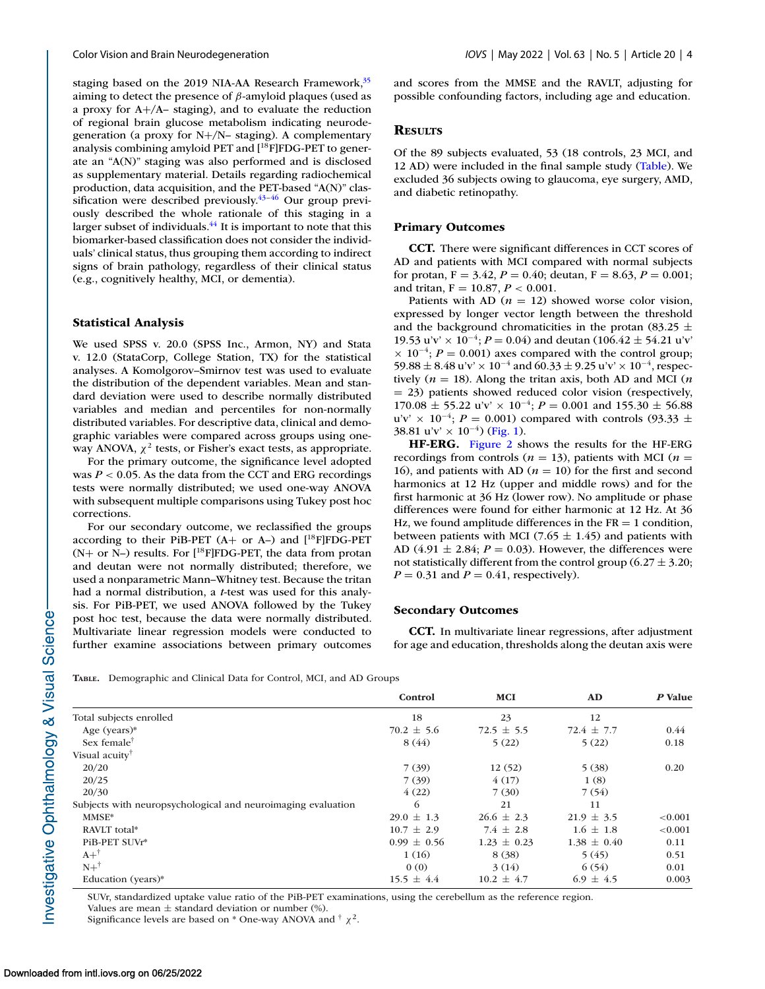<span id="page-3-0"></span>staging based on the 2019 NIA-AA Research Framework,<sup>35</sup> aiming to detect the presence of  $\beta$ -amyloid plaques (used as a proxy for A+/A– staging), and to evaluate the reduction of regional brain glucose metabolism indicating neurodegeneration (a proxy for N+/N– staging). A complementary analysis combining amyloid PET and  $[$ <sup>18</sup>F]FDG-PET to generate an "A(N)" staging was also performed and is disclosed as supplementary material. Details regarding radiochemical production, data acquisition, and the PET-based "A(N)" classification were described previously. $43-46$  Our group previously described the whole rationale of this staging in a larger subset of individuals.<sup>44</sup> It is important to note that this biomarker-based classification does not consider the individuals' clinical status, thus grouping them according to indirect signs of brain pathology, regardless of their clinical status (e.g., cognitively healthy, MCI, or dementia).

# **Statistical Analysis**

We used SPSS v. 20.0 (SPSS Inc., Armon, NY) and Stata v. 12.0 (StataCorp, College Station, TX) for the statistical analyses. A Komolgorov–Smirnov test was used to evaluate the distribution of the dependent variables. Mean and standard deviation were used to describe normally distributed variables and median and percentiles for non-normally distributed variables. For descriptive data, clinical and demographic variables were compared across groups using oneway ANOVA,  $\chi^2$  tests, or Fisher's exact tests, as appropriate.

For the primary outcome, the significance level adopted was  $P < 0.05$ . As the data from the CCT and ERG recordings tests were normally distributed; we used one-way ANOVA with subsequent multiple comparisons using Tukey post hoc corrections.

For our secondary outcome, we reclassified the groups according to their PiB-PET  $(A+$  or A–) and  $[$ <sup>18</sup>F]FDG-PET  $(N+$  or N–) results. For  $[^{18}F]$ FDG-PET, the data from protan and deutan were not normally distributed; therefore, we used a nonparametric Mann–Whitney test. Because the tritan had a normal distribution, a *t*-test was used for this analysis. For PiB-PET, we used ANOVA followed by the Tukey post hoc test, because the data were normally distributed. Multivariate linear regression models were conducted to further examine associations between primary outcomes and scores from the MMSE and the RAVLT, adjusting for possible confounding factors, including age and education.

## **RESULTS**

Of the 89 subjects evaluated, 53 (18 controls, 23 MCI, and 12 AD) were included in the final sample study (Table). We excluded 36 subjects owing to glaucoma, eye surgery, AMD, and diabetic retinopathy.

## **Primary Outcomes**

**CCT.** There were significant differences in CCT scores of AD and patients with MCI compared with normal subjects for protan,  $F = 3.42$ ,  $P = 0.40$ ; deutan,  $F = 8.63$ ,  $P = 0.001$ ; and tritan, F = 10.87, *P* < 0.001.

Patients with AD ( $n = 12$ ) showed worse color vision, expressed by longer vector length between the threshold and the background chromaticities in the protan (83.25  $\pm$ 19.53 u'v' × 10<sup>-4</sup>;  $P = 0.04$ ) and deutan (106.42 ± 54.21 u'v'  $\times$  10<sup>-4</sup>; *P* = 0.001) axes compared with the control group; 59.88  $\pm$  8.48 u'v' × 10<sup>-4</sup> and 60.33  $\pm$  9.25 u'v' × 10<sup>-4</sup>, respectively  $(n = 18)$ . Along the tritan axis, both AD and MCI  $(n \cdot n)$ = 23) patients showed reduced color vision (respectively, 170.08 ± 55.22 u'v' × 10−4; *P* = 0.001 and 155.30 ± 56.88 u'v' × 10<sup>-4</sup>; *P* = 0.001) compared with controls (93.33 ± 38.81 u'v' × 10<sup>-4</sup>) [\(Fig. 1\)](#page-4-0).

**HF-ERG.** [Figure 2](#page-5-0) shows the results for the HF-ERG recordings from controls ( $n = 13$ ), patients with MCI ( $n =$ 16), and patients with AD ( $n = 10$ ) for the first and second harmonics at 12 Hz (upper and middle rows) and for the first harmonic at 36 Hz (lower row). No amplitude or phase differences were found for either harmonic at 12 Hz. At 36 Hz, we found amplitude differences in the  $FR = 1$  condition, between patients with MCI (7.65  $\pm$  1.45) and patients with AD  $(4.91 \pm 2.84; P = 0.03)$ . However, the differences were not statistically different from the control group (6.27  $\pm$  3.20;  $P = 0.31$  and  $P = 0.41$ , respectively).

## **Secondary Outcomes**

**CCT.** In multivariate linear regressions, after adjustment for age and education, thresholds along the deutan axis were

**TABLE.** Demographic and Clinical Data for Control, MCI, and AD Groups

|                                                              | Control         | <b>MCI</b>      | <b>AD</b>       | P Value |
|--------------------------------------------------------------|-----------------|-----------------|-----------------|---------|
| Total subjects enrolled                                      | 18              | 23              | 12              |         |
| Age (years) $*$                                              | $70.2 \pm 5.6$  | $72.5 \pm 5.5$  | $72.4 \pm 7.7$  | 0.44    |
| Sex female <sup>†</sup>                                      | 8(44)           | 5(22)           | 5(22)           | 0.18    |
| Visual acuity <sup>†</sup>                                   |                 |                 |                 |         |
| 20/20                                                        | 7(39)           | 12(52)          | 5(38)           | 0.20    |
| 20/25                                                        | 7(39)           | 4(17)           | 1(8)            |         |
| 20/30                                                        | 4(22)           | 7(30)           | 7(54)           |         |
| Subjects with neuropsychological and neuroimaging evaluation | 6               | 21              | 11              |         |
| MMSE*                                                        | $29.0 \pm 1.3$  | $26.6 \pm 2.3$  | $21.9 \pm 3.5$  | < 0.001 |
| RAVLT total*                                                 | $10.7 \pm 2.9$  | $7.4 \pm 2.8$   | $1.6 \pm 1.8$   | < 0.001 |
| PiB-PET SUVr*                                                | $0.99 \pm 0.56$ | $1.23 \pm 0.23$ | $1.38 \pm 0.40$ | 0.11    |
| $A+^{\dagger}$                                               | 1(16)           | 8(38)           | 5(45)           | 0.51    |
| $N+^{\dagger}$                                               | 0(0)            | 3(14)           | 6(54)           | 0.01    |
| Education (years)*                                           | $15.5 \pm 4.4$  | $10.2 \pm 4.7$  | $6.9 \pm 4.5$   | 0.003   |

SUVr, standardized uptake value ratio of the PiB-PET examinations, using the cerebellum as the reference region. Values are mean  $\pm$  standard deviation or number (%).

Significance levels are based on \* One-way ANOVA and  $\dagger \chi^2$ .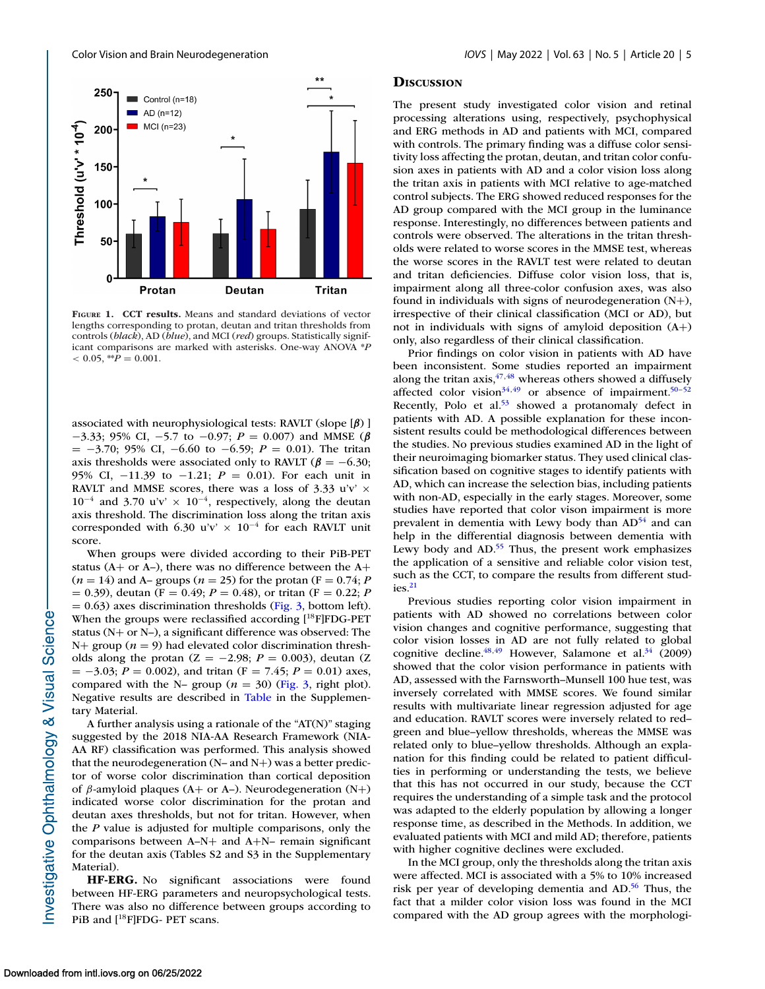<span id="page-4-0"></span>

**FIGURE 1. CCT results.** Means and standard deviations of vector lengths corresponding to protan, deutan and tritan thresholds from controls (*black*), AD (*blue*), and MCI (*red*) groups. Statistically significant comparisons are marked with asterisks. One-way ANOVA \**P*  $< 0.05,$  \*\* $P = 0.001$ .

associated with neurophysiological tests: RAVLT (slope [*β*) ] −3.33; 95% CI, −5.7 to −0.97; *P* = 0.007) and MMSE (*β* = −3.70; 95% CI, −6.60 to −6.59; *P* = 0.01). The tritan axis thresholds were associated only to RAVLT ( $\beta = -6.30$ ; 95% CI, −11.39 to −1.21; *P* = 0.01). For each unit in RAVLT and MMSE scores, there was a loss of 3.33 u'v'  $\times$  $10^{-4}$  and 3.70 u'v' ×  $10^{-4}$ , respectively, along the deutan axis threshold. The discrimination loss along the tritan axis corresponded with 6.30 u'v'  $\times$  10<sup>-4</sup> for each RAVLT unit score.

When groups were divided according to their PiB-PET status ( $A$ + or  $A$ –), there was no difference between the  $A$ +  $(n = 14)$  and A– groups  $(n = 25)$  for the protan  $(F = 0.74; P)$  $= 0.39$ ), deutan (F = 0.49; *P* = 0.48), or tritan (F = 0.22; *P*  $= 0.63$ ) axes discrimination thresholds [\(Fig. 3,](#page-6-0) bottom left). When the groups were reclassified according [<sup>18</sup>F]FDG-PET status (N+ or N–), a significant difference was observed: The  $N+$  group ( $n = 9$ ) had elevated color discrimination thresholds along the protan  $(Z = -2.98; P = 0.003)$ , deutan  $(Z = -2.98; P = 0.003)$ = −3.03; *P* = 0.002), and tritan (F = 7.45; *P* = 0.01) axes, compared with the N– group  $(n = 30)$  [\(Fig. 3,](#page-6-0) right plot). Negative results are described in [Table](#page-3-0) in the Supplementary Material.

A further analysis using a rationale of the "AT(N)" staging suggested by the 2018 NIA-AA Research Framework (NIA-AA RF) classification was performed. This analysis showed that the neurodegeneration (N– and N+) was a better predictor of worse color discrimination than cortical deposition of  $\beta$ -amyloid plaques (A+ or A-). Neurodegeneration (N+) indicated worse color discrimination for the protan and deutan axes thresholds, but not for tritan. However, when the *P* value is adjusted for multiple comparisons, only the comparisons between A–N+ and A+N– remain significant for the deutan axis (Tables S2 and S3 in the Supplementary Material).

**HF-ERG.** No significant associations were found between HF-ERG parameters and neuropsychological tests. There was also no difference between groups according to PiB and [<sup>18</sup>F]FDG- PET scans.

#### **DISCUSSION**

The present study investigated color vision and retinal processing alterations using, respectively, psychophysical and ERG methods in AD and patients with MCI, compared with controls. The primary finding was a diffuse color sensitivity loss affecting the protan, deutan, and tritan color confusion axes in patients with AD and a color vision loss along the tritan axis in patients with MCI relative to age-matched control subjects. The ERG showed reduced responses for the AD group compared with the MCI group in the luminance response. Interestingly, no differences between patients and controls were observed. The alterations in the tritan thresholds were related to worse scores in the MMSE test, whereas the worse scores in the RAVLT test were related to deutan and tritan deficiencies. Diffuse color vision loss, that is, impairment along all three-color confusion axes, was also found in individuals with signs of neurodegeneration (N+), irrespective of their clinical classification (MCI or AD), but not in individuals with signs of amyloid deposition (A+) only, also regardless of their clinical classification.

Prior findings on color vision in patients with AD have been inconsistent. Some studies reported an impairment along the tritan axis,  $47,48$  whereas others showed a diffusely affected color vision<sup>34,49</sup> or absence of impairment.<sup>50-52</sup> Recently, Polo et al.<sup>53</sup> showed a protanomaly defect in patients with AD. A possible explanation for these inconsistent results could be methodological differences between the studies. No previous studies examined AD in the light of their neuroimaging biomarker status. They used clinical classification based on cognitive stages to identify patients with AD, which can increase the selection bias, including patients with non-AD, especially in the early stages. Moreover, some studies have reported that color vison impairment is more prevalent in dementia with Lewy body than  $AD<sup>54</sup>$  and can help in the differential diagnosis between dementia with Lewy body and  $AD<sup>55</sup>$  Thus, the present work emphasizes the application of a sensitive and reliable color vision test, such as the CCT, to compare the results from different stud $i$ es. $21$ 

Previous studies reporting color vision impairment in patients with AD showed no correlations between color vision changes and cognitive performance, suggesting that color vision losses in AD are not fully related to global cognitive decline. $48,49$  However, Salamone et al. $34$  (2009) showed that the color vision performance in patients with AD, assessed with the Farnsworth–Munsell 100 hue test, was inversely correlated with MMSE scores. We found similar results with multivariate linear regression adjusted for age and education. RAVLT scores were inversely related to red– green and blue–yellow thresholds, whereas the MMSE was related only to blue–yellow thresholds. Although an explanation for this finding could be related to patient difficulties in performing or understanding the tests, we believe that this has not occurred in our study, because the CCT requires the understanding of a simple task and the protocol was adapted to the elderly population by allowing a longer response time, as described in the Methods. In addition, we evaluated patients with MCI and mild AD; therefore, patients with higher cognitive declines were excluded.

In the MCI group, only the thresholds along the tritan axis were affected. MCI is associated with a 5% to 10% increased risk per year of developing dementia and AD.<sup>56</sup> Thus, the fact that a milder color vision loss was found in the MCI compared with the AD group agrees with the morphologi-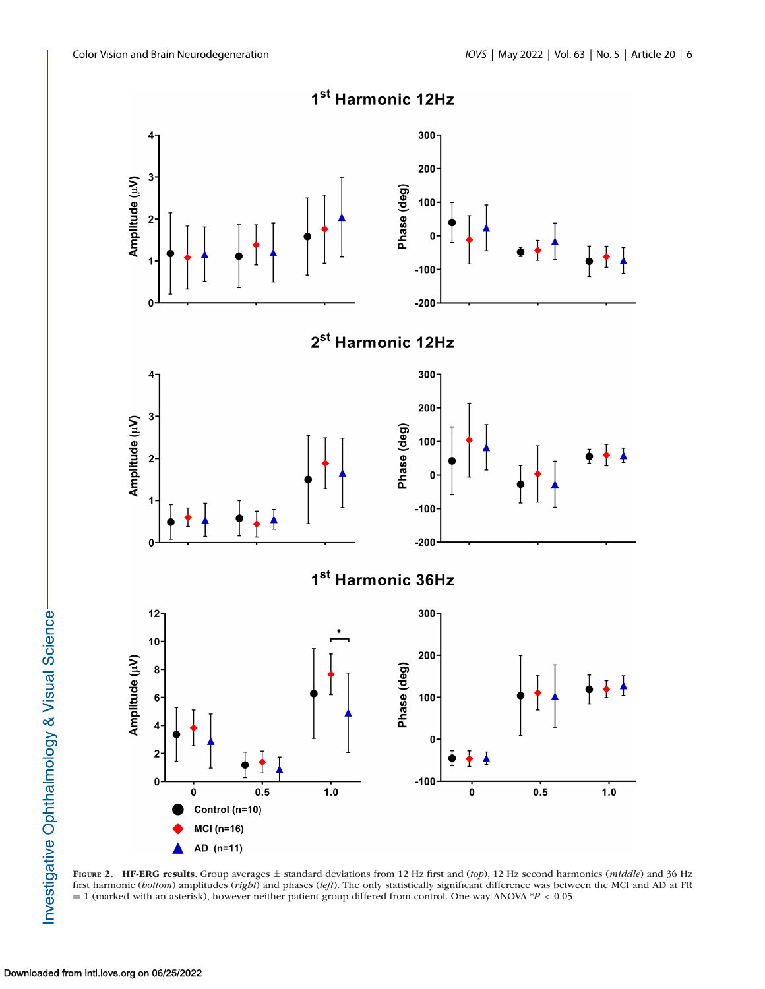<span id="page-5-0"></span>

**FIGURE 2. HF-ERG results.** Group averages ± standard deviations from 12 Hz first and (*top*), 12 Hz second harmonics (*middle*) and 36 Hz first harmonic (*bottom*) amplitudes (*right*) and phases (*left*). The only statistically significant difference was between the MCI and AD at FR = 1 (marked with an asterisk), however neither patient group differed from control. One-way ANOVA \**P* < 0.05.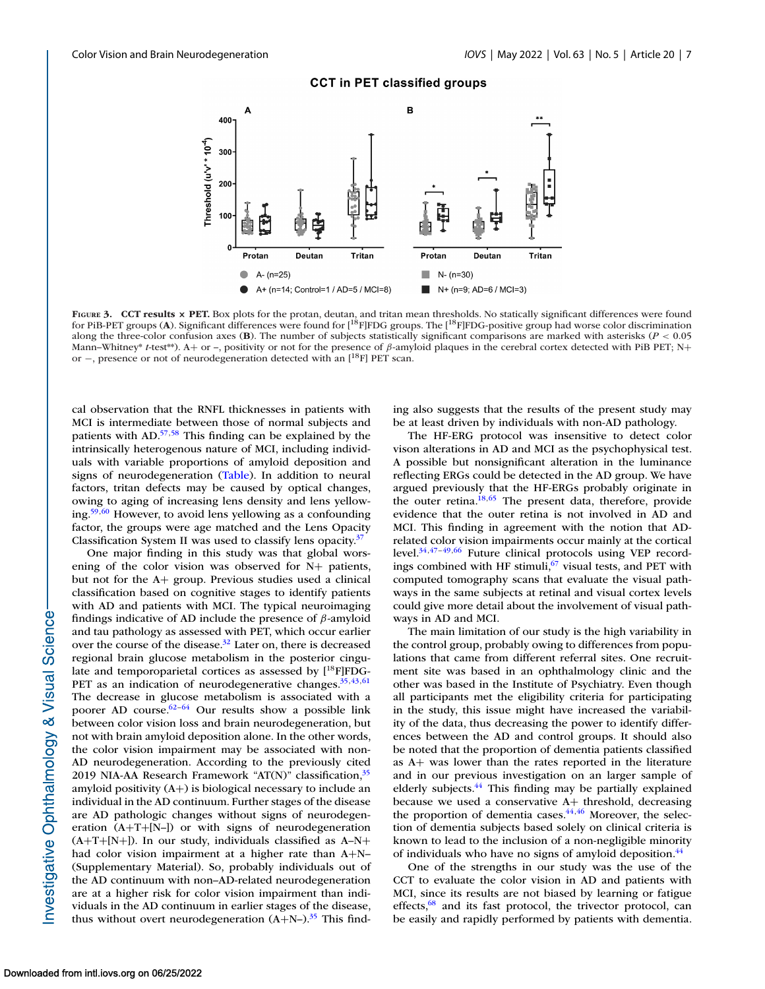## **CCT in PET classified groups**

<span id="page-6-0"></span>

**FIGURE 3. CCT results × PET.** Box plots for the protan, deutan, and tritan mean thresholds. No statically significant differences were found for PiB-PET groups (**A**). Significant differences were found for [18F]FDG groups. The [18F]FDG-positive group had worse color discrimination along the three-color confusion axes (**B**). The number of subjects statistically significant comparisons are marked with asterisks (*P* < 0.05 Mann–Whitney\* *t*-test\*\*). A+ or –, positivity or not for the presence of β-amyloid plaques in the cerebral cortex detected with PiB PET; N+ or −, presence or not of neurodegeneration detected with an [<sup>18</sup>F] PET scan.

cal observation that the RNFL thicknesses in patients with MCI is intermediate between those of normal subjects and patients with AD[.57,58](#page-9-0) This finding can be explained by the intrinsically heterogenous nature of MCI, including individuals with variable proportions of amyloid deposition and signs of neurodegeneration [\(Table\)](#page-3-0). In addition to neural factors, tritan defects may be caused by optical changes, owing to aging of increasing lens density and lens yellowing[.59,60](#page-9-0) However, to avoid lens yellowing as a confounding factor, the groups were age matched and the Lens Opacity Classification System II was used to classify lens opacity. $37$ 

One major finding in this study was that global worsening of the color vision was observed for N+ patients, but not for the A+ group. Previous studies used a clinical classification based on cognitive stages to identify patients with AD and patients with MCI. The typical neuroimaging findings indicative of AD include the presence of  $\beta$ -amyloid and tau pathology as assessed with PET, which occur earlier over the course of the disease.<sup>32</sup> Later on, there is decreased regional brain glucose metabolism in the posterior cingulate and temporoparietal cortices as assessed by  $[{}^{18}F]FDG-$ PET as an indication of neurodegenerative changes.<sup>35,43,[61](#page-9-0)</sup> The decrease in glucose metabolism is associated with a poorer AD course.<sup>62-64</sup> Our results show a possible link between color vision loss and brain neurodegeneration, but not with brain amyloid deposition alone. In the other words, the color vision impairment may be associated with non-AD neurodegeneration. According to the previously cited 2019 NIA-AA Research Framework "AT(N)" classification,  $35$ amyloid positivity (A+) is biological necessary to include an individual in the AD continuum. Further stages of the disease are AD pathologic changes without signs of neurodegeneration (A+T+[N–]) or with signs of neurodegeneration  $(A+T+[N+])$ . In our study, individuals classified as  $A-N+$ had color vision impairment at a higher rate than A+N– (Supplementary Material). So, probably individuals out of the AD continuum with non–AD-related neurodegeneration are at a higher risk for color vision impairment than individuals in the AD continuum in earlier stages of the disease, thus without overt neurodegeneration  $(A+N-)$ .<sup>35</sup> This finding also suggests that the results of the present study may be at least driven by individuals with non-AD pathology.

The HF-ERG protocol was insensitive to detect color vison alterations in AD and MCI as the psychophysical test. A possible but nonsignificant alteration in the luminance reflecting ERGs could be detected in the AD group. We have argued previously that the HF-ERGs probably originate in the outer retina.<sup>18[,65](#page-9-0)</sup> The present data, therefore, provide evidence that the outer retina is not involved in AD and MCI. This finding in agreement with the notion that ADrelated color vision impairments occur mainly at the cortical level[.34,47–49](#page-8-0)[,66](#page-9-0) Future clinical protocols using VEP recordings combined with HF stimuli, $67$  visual tests, and PET with computed tomography scans that evaluate the visual pathways in the same subjects at retinal and visual cortex levels could give more detail about the involvement of visual pathways in AD and MCI.

The main limitation of our study is the high variability in the control group, probably owing to differences from populations that came from different referral sites. One recruitment site was based in an ophthalmology clinic and the other was based in the Institute of Psychiatry. Even though all participants met the eligibility criteria for participating in the study, this issue might have increased the variability of the data, thus decreasing the power to identify differences between the AD and control groups. It should also be noted that the proportion of dementia patients classified as A+ was lower than the rates reported in the literature and in our previous investigation on an larger sample of elderly subjects.<sup>44</sup> This finding may be partially explained because we used a conservative A+ threshold, decreasing the proportion of dementia cases. $\frac{44,46}{9}$  Moreover, the selection of dementia subjects based solely on clinical criteria is known to lead to the inclusion of a non-negligible minority of individuals who have no signs of amyloid deposition[.44](#page-8-0)

One of the strengths in our study was the use of the CCT to evaluate the color vision in AD and patients with MCI, since its results are not biased by learning or fatigue effects, $68$  and its fast protocol, the trivector protocol, can be easily and rapidly performed by patients with dementia.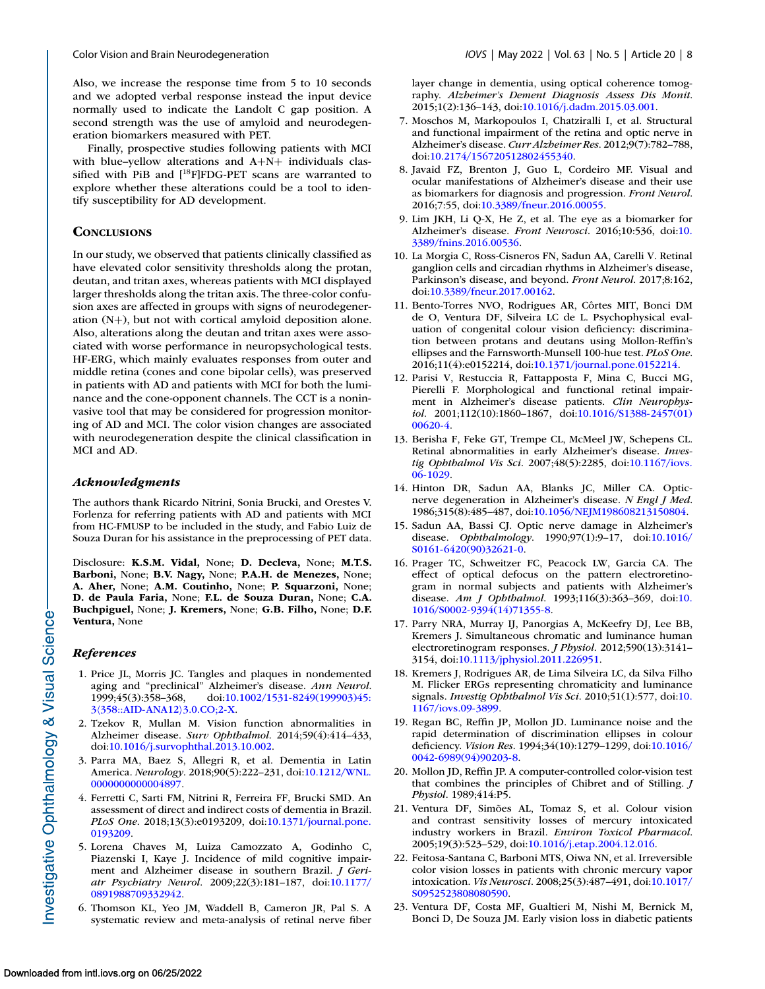<span id="page-7-0"></span>

Also, we increase the response time from 5 to 10 seconds and we adopted verbal response instead the input device normally used to indicate the Landolt C gap position. A second strength was the use of amyloid and neurodegeneration biomarkers measured with PET.

Finally, prospective studies following patients with MCI with blue–yellow alterations and A+N+ individuals classified with PiB and  $[$ <sup>18</sup>F $]$ FDG-PET scans are warranted to explore whether these alterations could be a tool to identify susceptibility for AD development*.*

# **CONCLUSIONS**

In our study, we observed that patients clinically classified as have elevated color sensitivity thresholds along the protan, deutan, and tritan axes, whereas patients with MCI displayed larger thresholds along the tritan axis. The three-color confusion axes are affected in groups with signs of neurodegeneration (N+), but not with cortical amyloid deposition alone. Also, alterations along the deutan and tritan axes were associated with worse performance in neuropsychological tests. HF-ERG, which mainly evaluates responses from outer and middle retina (cones and cone bipolar cells), was preserved in patients with AD and patients with MCI for both the luminance and the cone-opponent channels. The CCT is a noninvasive tool that may be considered for progression monitoring of AD and MCI. The color vision changes are associated with neurodegeneration despite the clinical classification in MCI and AD.

## *Acknowledgments*

The authors thank Ricardo Nitrini, Sonia Brucki, and Orestes V. Forlenza for referring patients with AD and patients with MCI from HC-FMUSP to be included in the study, and Fabio Luiz de Souza Duran for his assistance in the preprocessing of PET data.

Disclosure: **K.S.M. Vidal,** None; **D. Decleva,** None; **M.T.S. Barboni,** None; **B.V. Nagy,** None; **P.A.H. de Menezes,** None; **A. Aher,** None; **A.M. Coutinho,** None; **P. Squarzoni,** None; **D. de Paula Faria,** None; **F.L. de Souza Duran,** None; **C.A. Buchpiguel,** None; **J. Kremers,** None; **G.B. Filho,** None; **D.F. Ventura,** None

#### *References*

- 1. Price JL, Morris JC. Tangles and plaques in nondemented aging and "preclinical" Alzheimer's disease. *Ann Neurol*. [1999;45\(3\):358–368, doi:10.1002/1531-8249\(199903\)45:](http://doi.org/10.1002/1531-8249(199903)45:310358::AID-ANA12103.0.CO;2-X) 3\358::AID-ANA12\3.0.CO;2-X.
- 2. Tzekov R, Mullan M. Vision function abnormalities in Alzheimer disease. *Surv Ophthalmol*. 2014;59(4):414–433, doi[:10.1016/j.survophthal.2013.10.002.](http://doi.org/10.1016/j.survophthal.2013.10.002)
- 3. Parra MA, Baez S, Allegri R, et al. Dementia in Latin America. *Neurology*[. 2018;90\(5\):222–231, doi:10.1212/WNL.](http://doi.org/10.1212/WNL.0000000000004897) 0000000000004897.
- 4. Ferretti C, Sarti FM, Nitrini R, Ferreira FF, Brucki SMD. An assessment of direct and indirect costs of dementia in Brazil. *PLoS One*[. 2018;13\(3\):e0193209, doi:10.1371/journal.pone.](http://doi.org/10.1371/journal.pone.0193209) 0193209.
- 5. Lorena Chaves M, Luiza Camozzato A, Godinho C, Piazenski I, Kaye J. Incidence of mild cognitive impairment and Alzheimer disease in southern Brazil. *J Geriatr Psychiatry Neurol*[. 2009;22\(3\):181–187, doi:10.1177/](http://doi.org/10.1177/0891988709332942) 0891988709332942.
- 6. Thomson KL, Yeo JM, Waddell B, Cameron JR, Pal S. A systematic review and meta-analysis of retinal nerve fiber

layer change in dementia, using optical coherence tomography. *Alzheimer's Dement Diagnosis Assess Dis Monit*. 2015;1(2):136–143, doi[:10.1016/j.dadm.2015.03.001.](http://doi.org/10.1016/j.dadm.2015.03.001)

- 7. Moschos M, Markopoulos I, Chatziralli I, et al. Structural and functional impairment of the retina and optic nerve in Alzheimer's disease. *Curr Alzheimer Res*. 2012;9(7):782–788, doi[:10.2174/156720512802455340.](http://doi.org/10.2174/156720512802455340)
- 8. Javaid FZ, Brenton J, Guo L, Cordeiro MF. Visual and ocular manifestations of Alzheimer's disease and their use as biomarkers for diagnosis and progression. *Front Neurol*. 2016;7:55, doi[:10.3389/fneur.2016.00055.](http://doi.org/10.3389/fneur.2016.00055)
- 9. Lim JKH, Li Q-X, He Z, et al. The eye as a biomarker for Alzheimer's disease. *Front Neurosci*. 2016;10:536, doi:10. [3389/fnins.2016.00536.](http://doi.org/10.3389/fnins.2016.00536)
- 10. La Morgia C, Ross-Cisneros FN, Sadun AA, Carelli V. Retinal ganglion cells and circadian rhythms in Alzheimer's disease, Parkinson's disease, and beyond. *Front Neurol*. 2017;8:162, doi[:10.3389/fneur.2017.00162.](http://doi.org/10.3389/fneur.2017.00162)
- 11. Bento-Torres NVO, Rodrigues AR, Côrtes MIT, Bonci DM de O, Ventura DF, Silveira LC de L. Psychophysical evaluation of congenital colour vision deficiency: discrimination between protans and deutans using Mollon-Reffin's ellipses and the Farnsworth-Munsell 100-hue test. *PLoS One*. 2016;11(4):e0152214, doi[:10.1371/journal.pone.0152214.](http://doi.org/10.1371/journal.pone.0152214)
- 12. Parisi V, Restuccia R, Fattapposta F, Mina C, Bucci MG, Pierelli F. Morphological and functional retinal impairment in Alzheimer's disease patients. *Clin Neurophysiol*[. 2001;112\(10\):1860–1867, doi:10.1016/S1388-2457\(01\)](http://doi.org/10.1016/S1388-2457(01)00620-4) 00620-4.
- 13. Berisha F, Feke GT, Trempe CL, McMeel JW, Schepens CL. Retinal abnormalities in early Alzheimer's disease. *Investig Ophthalmol Vis Sci*[. 2007;48\(5\):2285, doi:10.1167/iovs.](http://doi.org/10.1167/iovs.06-1029) 06-1029.
- 14. Hinton DR, Sadun AA, Blanks JC, Miller CA. Opticnerve degeneration in Alzheimer's disease. *N Engl J Med*. 1986;315(8):485–487, doi[:10.1056/NEJM198608213150804.](http://doi.org/10.1056/NEJM198608213150804)
- 15. Sadun AA, Bassi CJ. Optic nerve damage in Alzheimer's disease. *Ophthalmology*[. 1990;97\(1\):9–17, doi:10.1016/](http://doi.org/10.1016/S0161-6420(90)32621-0) S0161-6420(90)32621-0.
- 16. Prager TC, Schweitzer FC, Peacock LW, Garcia CA. The effect of optical defocus on the pattern electroretinogram in normal subjects and patients with Alzheimer's disease. *Am J Ophthalmol*[. 1993;116\(3\):363–369, doi:10.](http://doi.org/10.1016/S0002-9394(14)71355-8) 1016/S0002-9394(14)71355-8.
- 17. Parry NRA, Murray IJ, Panorgias A, McKeefry DJ, Lee BB, Kremers J. Simultaneous chromatic and luminance human electroretinogram responses. *J Physiol*. 2012;590(13):3141– 3154, doi[:10.1113/jphysiol.2011.226951.](http://doi.org/10.1113/jphysiol.2011.226951)
- 18. Kremers J, Rodrigues AR, de Lima Silveira LC, da Silva Filho M. Flicker ERGs representing chromaticity and luminance signals. *[Investig Ophthalmol Vis Sci](http://doi.org/10.1167/iovs.09-3899)*. 2010;51(1):577, doi:10. 1167/iovs.09-3899.
- 19. Regan BC, Reffin JP, Mollon JD. Luminance noise and the rapid determination of discrimination ellipses in colour deficiency. *Vision Res*[. 1994;34\(10\):1279–1299, doi:10.1016/](http://doi.org/10.1016/0042-6989(94)90203-8) 0042-6989(94)90203-8.
- 20. Mollon JD, Reffin JP. A computer-controlled color-vision test that combines the principles of Chibret and of Stilling. *J Physiol*. 1989;414:P5.
- 21. Ventura DF, Simões AL, Tomaz S, et al. Colour vision and contrast sensitivity losses of mercury intoxicated industry workers in Brazil. *Environ Toxicol Pharmacol*. 2005;19(3):523–529, doi[:10.1016/j.etap.2004.12.016.](http://doi.org/10.1016/j.etap.2004.12.016)
- 22. Feitosa-Santana C, Barboni MTS, Oiwa NN, et al. Irreversible color vision losses in patients with chronic mercury vapor intoxication. *Vis Neurosci*[. 2008;25\(3\):487–491, doi:10.1017/](http://doi.org/10.1017/S0952523808080590) S0952523808080590.
- 23. Ventura DF, Costa MF, Gualtieri M, Nishi M, Bernick M, Bonci D, De Souza JM. Early vision loss in diabetic patients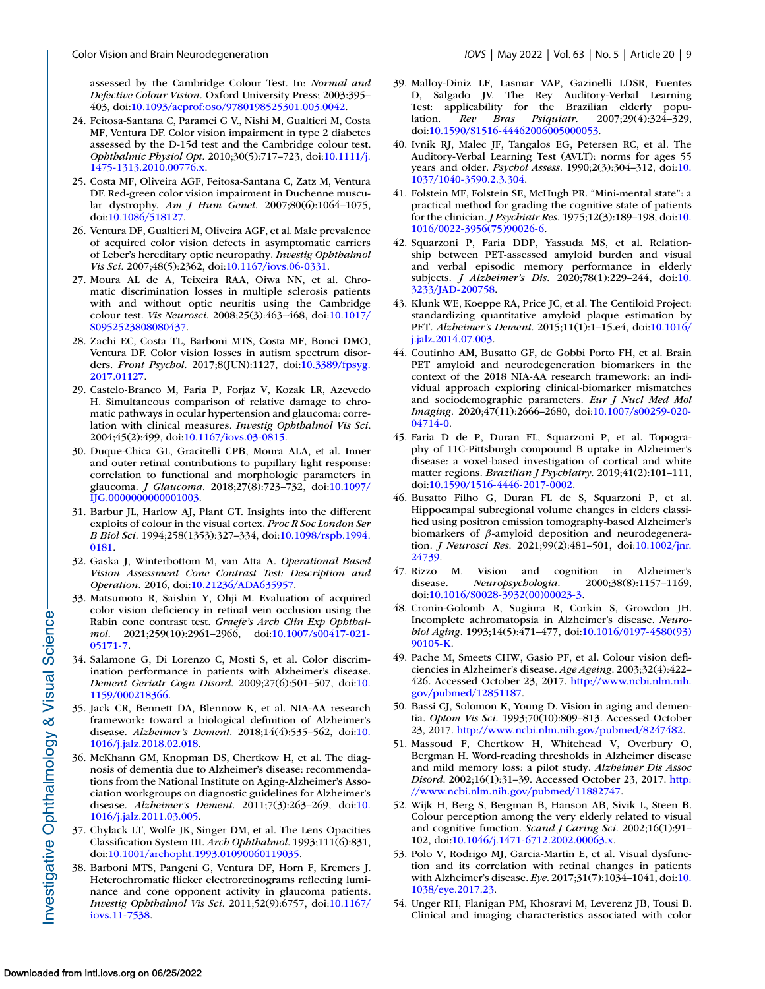<span id="page-8-0"></span>assessed by the Cambridge Colour Test. In: *Normal and Defective Colour Vision.* Oxford University Press; 2003:395– 403, doi[:10.1093/acprof:oso/9780198525301.003.0042.](https://doi.org/10.1093/acprof:oso/9780198525301.003.0042)

- 24. Feitosa-Santana C, Paramei G V., Nishi M, Gualtieri M, Costa MF, Ventura DF. Color vision impairment in type 2 diabetes assessed by the D-15d test and the Cambridge colour test. *Ophthalmic Physiol Opt*[. 2010;30\(5\):717–723, doi:10.1111/j.](http://doi.org/10.1111/j.1475-1313.2010.00776.x) 1475-1313.2010.00776.x.
- 25. Costa MF, Oliveira AGF, Feitosa-Santana C, Zatz M, Ventura DF. Red-green color vision impairment in Duchenne muscular dystrophy. *Am J Hum Genet*. 2007;80(6):1064–1075, doi[:10.1086/518127.](http://doi.org/10.1086/518127)
- 26. Ventura DF, Gualtieri M, Oliveira AGF, et al. Male prevalence of acquired color vision defects in asymptomatic carriers of Leber's hereditary optic neuropathy. *Investig Ophthalmol Vis Sci*. 2007;48(5):2362, doi[:10.1167/iovs.06-0331.](http://doi.org/10.1167/iovs.06-0331)
- 27. Moura AL de A, Teixeira RAA, Oiwa NN, et al. Chromatic discrimination losses in multiple sclerosis patients with and without optic neuritis using the Cambridge colour test. *Vis Neurosci*[. 2008;25\(3\):463–468, doi:10.1017/](http://doi.org/10.1017/S0952523808080437) S0952523808080437.
- 28. Zachi EC, Costa TL, Barboni MTS, Costa MF, Bonci DMO, Ventura DF. Color vision losses in autism spectrum disorders. *Front Psychol*[. 2017;8\(JUN\):1127, doi:10.3389/fpsyg.](http://doi.org/10.3389/fpsyg.2017.01127) 2017.01127.
- 29. Castelo-Branco M, Faria P, Forjaz V, Kozak LR, Azevedo H. Simultaneous comparison of relative damage to chromatic pathways in ocular hypertension and glaucoma: correlation with clinical measures. *Investig Ophthalmol Vis Sci*. 2004;45(2):499, doi[:10.1167/iovs.03-0815.](http://doi.org/10.1167/iovs.03-0815)
- 30. Duque-Chica GL, Gracitelli CPB, Moura ALA, et al. Inner and outer retinal contributions to pupillary light response: correlation to functional and morphologic parameters in glaucoma. *J Glaucoma*[. 2018;27\(8\):723–732, doi:10.1097/](http://doi.org/10.1097/IJG.0000000000001003) IJG.0000000000001003.
- 31. Barbur JL, Harlow AJ, Plant GT. Insights into the different exploits of colour in the visual cortex. *Proc R Soc London Ser B Biol Sci*[. 1994;258\(1353\):327–334, doi:10.1098/rspb.1994.](http://doi.org/10.1098/rspb.1994.0181) 0181.
- 32. Gaska J, Winterbottom M, van Atta A. *Operational Based Vision Assessment Cone Contrast Test: Description and Operation.* 2016, doi[:10.21236/ADA635957.](https://doi.org/10.21236/ADA635957)
- 33. Matsumoto R, Saishin Y, Ohji M. Evaluation of acquired color vision deficiency in retinal vein occlusion using the Rabin cone contrast test. *Graefe's Arch Clin Exp Ophthalmol*[. 2021;259\(10\):2961–2966, doi:10.1007/s00417-021-](http://doi.org/10.1007/s00417-021-05171-7) 05171-7.
- 34. Salamone G, Di Lorenzo C, Mosti S, et al. Color discrimination performance in patients with Alzheimer's disease. *[Dement Geriatr Cogn Disord](http://doi.org/10.1159/000218366)*. 2009;27(6):501–507, doi:10. 1159/000218366.
- 35. Jack CR, Bennett DA, Blennow K, et al. NIA-AA research framework: toward a biological definition of Alzheimer's disease. *Alzheimer's Dement*[. 2018;14\(4\):535–562, doi:10.](http://doi.org/10.1016/j.jalz.2018.02.018) 1016/j.jalz.2018.02.018.
- 36. McKhann GM, Knopman DS, Chertkow H, et al. The diagnosis of dementia due to Alzheimer's disease: recommendations from the National Institute on Aging-Alzheimer's Association workgroups on diagnostic guidelines for Alzheimer's disease. *Alzheimer's Dement*[. 2011;7\(3\):263–269, doi:10.](http://doi.org/10.1016/j.jalz.2011.03.005) 1016/j.jalz.2011.03.005.
- 37. Chylack LT, Wolfe JK, Singer DM, et al. The Lens Opacities Classification System III. *Arch Ophthalmol*. 1993;111(6):831, doi[:10.1001/archopht.1993.01090060119035.](http://doi.org/10.1001/archopht.1993.01090060119035)
- 38. Barboni MTS, Pangeni G, Ventura DF, Horn F, Kremers J. Heterochromatic flicker electroretinograms reflecting luminance and cone opponent activity in glaucoma patients. *Investig Ophthalmol Vis Sci*[. 2011;52\(9\):6757, doi:10.1167/](http://doi.org/10.1167/iovs.11-7538) iovs.11-7538.
- 39. Malloy-Diniz LF, Lasmar VAP, Gazinelli LDSR, Fuentes D, Salgado JV. The Rey Auditory-Verbal Learning Test: applicability for the Brazilian elderly population. *Rev Bras Psiquiatr*. 2007;29(4):324–329, doi[:10.1590/S1516-44462006005000053.](http://doi.org/10.1590/S1516-44462006005000053)
- 40. Ivnik RJ, Malec JF, Tangalos EG, Petersen RC, et al. The Auditory-Verbal Learning Test (AVLT): norms for ages 55 years and older. *Psychol Assess*[. 1990;2\(3\):304–312, doi:10.](http://doi.org/10.1037/1040-3590.2.3.304) 1037/1040-3590.2.3.304.
- 41. Folstein MF, Folstein SE, McHugh PR. "Mini-mental state": a practical method for grading the cognitive state of patients for the clinician. *J Psychiatr Res*. 1975;12(3):189–198, doi:10. [1016/0022-3956\(75\)90026-6.](http://doi.org/10.1016/0022-3956(75)90026-6)
- 42. Squarzoni P, Faria DDP, Yassuda MS, et al. Relationship between PET-assessed amyloid burden and visual and verbal episodic memory performance in elderly subjects. *J Alzheimer's Dis*[. 2020;78\(1\):229–244, doi:10.](http://doi.org/10.3233/JAD-200758) 3233/JAD-200758.
- 43. Klunk WE, Koeppe RA, Price JC, et al. The Centiloid Project: standardizing quantitative amyloid plaque estimation by PET. *Alzheimer's Dement*[. 2015;11\(1\):1–15.e4, doi:10.1016/](http://doi.org/10.1016/j.jalz.2014.07.003) j.jalz.2014.07.003.
- 44. Coutinho AM, Busatto GF, de Gobbi Porto FH, et al. Brain PET amyloid and neurodegeneration biomarkers in the context of the 2018 NIA-AA research framework: an individual approach exploring clinical-biomarker mismatches and sociodemographic parameters. *Eur J Nucl Med Mol Imaging*[. 2020;47\(11\):2666–2680, doi:10.1007/s00259-020-](http://doi.org/10.1007/s00259-020-04714-0) 04714-0.
- 45. Faria D de P, Duran FL, Squarzoni P, et al. Topography of 11C-Pittsburgh compound B uptake in Alzheimer's disease: a voxel-based investigation of cortical and white matter regions. *Brazilian J Psychiatry*. 2019;41(2):101–111, doi[:10.1590/1516-4446-2017-0002.](http://doi.org/10.1590/1516-4446-2017-0002)
- 46. Busatto Filho G, Duran FL de S, Squarzoni P, et al. Hippocampal subregional volume changes in elders classified using positron emission tomography-based Alzheimer's biomarkers of  $\beta$ -amyloid deposition and neurodegeneration. *J Neurosci Res*[. 2021;99\(2\):481–501, doi:10.1002/jnr.](http://doi.org/10.1002/jnr.24739) 24739.
- 47. Rizzo M. Vision and cognition in Alzheimer's disease. Neuropsychologia. 2000;38(8):1157-1169, disease. *Neuropsychologia*. 2000;38(8):1157–1169, doi[:10.1016/S0028-3932\(00\)00023-3.](http://doi.org/10.1016/S0028-3932(00)00023-3)
- 48. Cronin-Golomb A, Sugiura R, Corkin S, Growdon JH. Incomplete achromatopsia in Alzheimer's disease. *Neurobiol Aging*[. 1993;14\(5\):471–477, doi:10.1016/0197-4580\(93\)](http://doi.org/10.1016/0197-4580(93)90105-K) 90105-K.
- 49. Pache M, Smeets CHW, Gasio PF, et al. Colour vision deficiencies in Alzheimer's disease. *Age Ageing*. 2003;32(4):422– [426. Accessed October 23, 2017.](http://www.ncbi.nlm.nih.gov/pubmed/12851187) http://www.ncbi.nlm.nih. gov/pubmed/12851187.
- 50. Bassi CJ, Solomon K, Young D. Vision in aging and dementia. *Optom Vis Sci*. 1993;70(10):809–813. Accessed October 23, 2017. [http://www.ncbi.nlm.nih.gov/pubmed/8247482.](http://www.ncbi.nlm.nih.gov/pubmed/8247482)
- 51. Massoud F, Chertkow H, Whitehead V, Overbury O, Bergman H. Word-reading thresholds in Alzheimer disease and mild memory loss: a pilot study. *Alzheimer Dis Assoc Disord*[. 2002;16\(1\):31–39. Accessed October 23, 2017.](http://www.ncbi.nlm.nih.gov/pubmed/11882747) http: //www.ncbi.nlm.nih.gov/pubmed/11882747.
- 52. Wijk H, Berg S, Bergman B, Hanson AB, Sivik L, Steen B. Colour perception among the very elderly related to visual and cognitive function. *Scand J Caring Sci*. 2002;16(1):91– 102, doi[:10.1046/j.1471-6712.2002.00063.x.](http://doi.org/10.1046/j.1471-6712.2002.00063.x)
- 53. Polo V, Rodrigo MJ, Garcia-Martin E, et al. Visual dysfunction and its correlation with retinal changes in patients with Alzheimer's disease. *Eye*[. 2017;31\(7\):1034–1041, doi:10.](http://doi.org/10.1038/eye.2017.23) 1038/eye.2017.23.
- 54. Unger RH, Flanigan PM, Khosravi M, Leverenz JB, Tousi B. Clinical and imaging characteristics associated with color

Investigative Ophthalmology & Visual Science